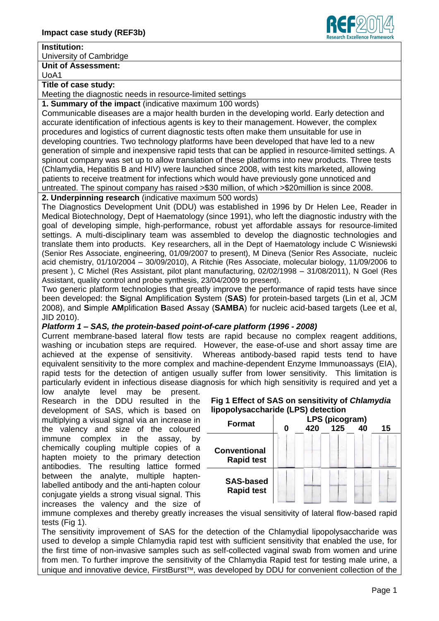# **Institution:**

University of Cambridge

**Unit of Assessment:**

UoA1

### **Title of case study:**

Meeting the diagnostic needs in resource-limited settings

**1. Summary of the impact** (indicative maximum 100 words)

Communicable diseases are a major health burden in the developing world. Early detection and accurate identification of infectious agents is key to their management. However, the complex procedures and logistics of current diagnostic tests often make them unsuitable for use in developing countries. Two technology platforms have been developed that have led to a new generation of simple and inexpensive rapid tests that can be applied in resource-limited settings. A spinout company was set up to allow translation of these platforms into new products. Three tests (Chlamydia, Hepatitis B and HIV) were launched since 2008, with test kits marketed, allowing patients to receive treatment for infections which would have previously gone unnoticed and untreated. The spinout company has raised >\$30 million, of which >\$20million is since 2008.

**2. Underpinning research** (indicative maximum 500 words)

The Diagnostics Development Unit (DDU) was established in 1996 by Dr Helen Lee, Reader in Medical Biotechnology, Dept of Haematology (since 1991), who left the diagnostic industry with the goal of developing simple, high-performance, robust yet affordable assays for resource-limited settings. A multi-disciplinary team was assembled to develop the diagnostic technologies and translate them into products. Key researchers, all in the Dept of Haematology include C Wisniewski (Senior Res Associate, engineering, 01/09/2007 to present), M Dineva (Senior Res Associate, nucleic acid chemistry, 01/10/2004 – 30/09/2010), A Ritchie (Res Associate, molecular biology, 11/09/2006 to present ), C Michel (Res Assistant, pilot plant manufacturing, 02/02/1998 – 31/08/2011), N Goel (Res Assistant, quality control and probe synthesis, 23/04/2009 to present).

Two generic platform technologies that greatly improve the performance of rapid tests have since been developed: the **S**ignal **A**mplification **S**ystem (**SAS**) for protein-based targets (Lin et al, JCM 2008), and **S**imple **AM**plification **B**ased **A**ssay (**SAMBA**) for nucleic acid-based targets (Lee et al, JID 2010).

## *Platform 1 – SAS, the protein-based point-of-care platform (1996 - 2008)*

Current membrane-based lateral flow tests are rapid because no complex reagent additions, washing or incubation steps are required. However, the ease-of-use and short assay time are achieved at the expense of sensitivity. Whereas antibody-based rapid tests tend to have equivalent sensitivity to the more complex and machine-dependent Enzyme Immunoassays (EIA), rapid tests for the detection of antigen usually suffer from lower sensitivity. This limitation is particularly evident in infectious disease diagnosis for which high sensitivity is required and yet a

low analyte level may be present. Research in the DDU resulted in the development of SAS, which is based on multiplying a visual signal via an increase in the valency and size of the coloured immune complex in the assay, by chemically coupling multiple copies of a hapten moiety to the primary detection antibodies. The resulting lattice formed between the analyte, multiple haptenlabelled antibody and the anti-hapten colour conjugate yields a strong visual signal. This increases the valency and the size of



Research Excellence Framework



immune complexes and thereby greatly increases the visual sensitivity of lateral flow-based rapid tests (Fig 1).

The sensitivity improvement of SAS for the detection of the Chlamydial lipopolysaccharide was used to develop a simple Chlamydia rapid test with sufficient sensitivity that enabled the use, for the first time of non-invasive samples such as self-collected vaginal swab from women and urine from men. To further improve the sensitivity of the Chlamydia Rapid test for testing male urine, a unique and innovative device, FirstBurst<sup>™</sup>, was developed by DDU for convenient collection of the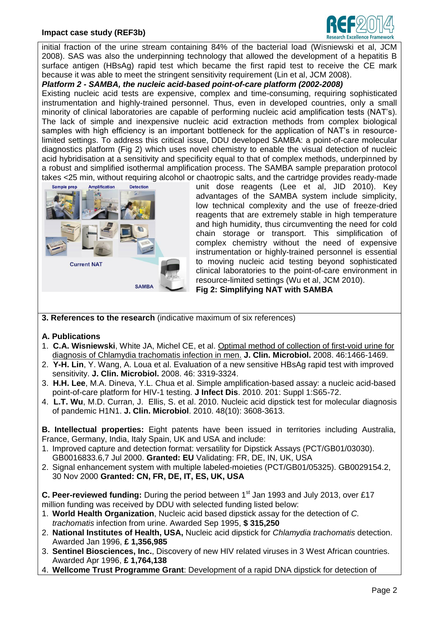#### **Impact case study (REF3b)**



initial fraction of the urine stream containing 84% of the bacterial load (Wisniewski et al, JCM 2008). SAS was also the underpinning technology that allowed the development of a hepatitis B surface antigen (HBsAg) rapid test which became the first rapid test to receive the CE mark because it was able to meet the stringent sensitivity requirement (Lin et al, JCM 2008).

*Platform 2 - SAMBA, the nucleic acid-based point-of-care platform (2002-2008)* 

Existing nucleic acid tests are expensive, complex and time-consuming, requiring sophisticated instrumentation and highly-trained personnel. Thus, even in developed countries, only a small minority of clinical laboratories are capable of performing nucleic acid amplification tests (NAT's). The lack of simple and inexpensive nucleic acid extraction methods from complex biological samples with high efficiency is an important bottleneck for the application of NAT's in resourcelimited settings. To address this critical issue, DDU developed SAMBA: a point-of-care molecular diagnostics platform (Fig 2) which uses novel chemistry to enable the visual detection of nucleic acid hybridisation at a sensitivity and specificity equal to that of complex methods, underpinned by a robust and simplified isothermal amplification process. The SAMBA sample preparation protocol takes <25 min, without requiring alcohol or chaotropic salts, and the cartridge provides ready-made



unit dose reagents (Lee et al, JID 2010). Key advantages of the SAMBA system include simplicity, low technical complexity and the use of freeze-dried reagents that are extremely stable in high temperature and high humidity, thus circumventing the need for cold chain storage or transport. This simplification of complex chemistry without the need of expensive instrumentation or highly-trained personnel is essential to moving nucleic acid testing beyond sophisticated clinical laboratories to the point-of-care environment in resource-limited settings (Wu et al, JCM 2010).

**Fig 2: Simplifying NAT with SAMBA**

- **3. References to the research** (indicative maximum of six references)
- **A. Publications**
- 1. **C.A. Wisniewski**, White JA, Michel CE, et al. [Optimal method of collection of first-void urine for](http://www.ncbi.nlm.nih.gov/pubmed/18234860)  [diagnosis of Chlamydia trachomatis infection in men.](http://www.ncbi.nlm.nih.gov/pubmed/18234860) **J. Clin. Microbiol.** 2008. 46:1466-1469.
- 2. **Y-H. Lin**, Y. Wang, A. Loua et al. Evaluation of a new sensitive HBsAg rapid test with improved sensitivity. **J. Clin. Microbiol.** 2008. 46: 3319-3324.
- 3. **H.H. Lee**, M.A. Dineva, Y.L. Chua et al. Simple amplification-based assay: a nucleic acid-based point-of-care platform for HIV-1 testing. **J Infect Dis**. 2010. 201: Suppl 1:S65-72.
- 4. **L.T. Wu**, M.D. Curran, J. Ellis, S. et al. 2010. Nucleic acid dipstick test for molecular diagnosis of pandemic H1N1. **J. Clin. Microbiol**. 2010. 48(10): 3608-3613.

**B. Intellectual properties:** Eight patents have been issued in territories including Australia, France, Germany, India, Italy Spain, UK and USA and include:

- 1. Improved capture and detection format: versatility for Dipstick Assays (PCT/GB01/03030). GB0016833.6,7 Jul 2000. **Granted: EU** Validating: FR, DE, IN, UK, USA
- 2. Signal enhancement system with multiple labeled-moieties (PCT/GB01/05325). GB0029154.2, 30 Nov 2000 **Granted: CN, FR, DE, IT, ES, UK, USA**

**C. Peer-reviewed funding:** During the period between 1<sup>st</sup> Jan 1993 and July 2013, over £17 million funding was received by DDU with selected funding listed below:

- 1. **World Health Organization**, Nucleic acid based dipstick assay for the detection of *C. trachomatis* infection from urine. Awarded Sep 1995, **\$ 315,250**
- 2. **National Institutes of Health, USA,** Nucleic acid dipstick for *Chlamydia trachomatis* detection. Awarded Jan 1996, **£ 1,356,985**
- 3. **Sentinel Biosciences, Inc.**, Discovery of new HIV related viruses in 3 West African countries. Awarded Apr 1996, **£ 1,764,138**
- 4. **Wellcome Trust Programme Grant**: Development of a rapid DNA dipstick for detection of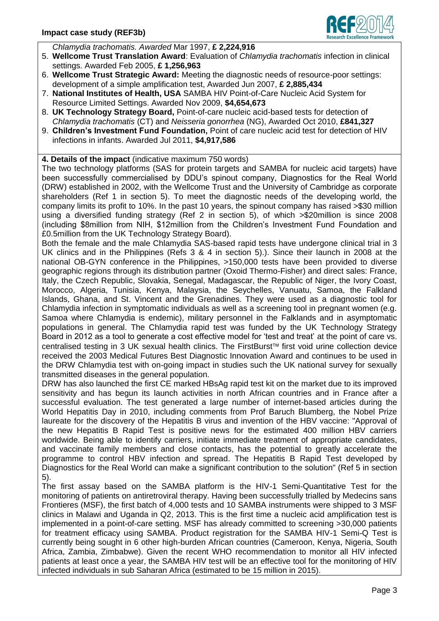

*Chlamydia trachomatis. Awarded* Mar 1997, **£ 2,224,916**

- 5. **Wellcome Trust Translation Award**: Evaluation of *Chlamydia trachomatis* infection in clinical settings. Awarded Feb 2005, **£ 1,256,963**
- 6. **Wellcome Trust Strategic Award:** Meeting the diagnostic needs of resource-poor settings: development of a simple amplification test, Awarded Jun 2007, **£ 2,885,434**
- 7. **National Institutes of Health, USA** SAMBA HIV Point-of-Care Nucleic Acid System for Resource Limited Settings. Awarded Nov 2009, **\$4,654,673**
- 8. **UK Technology Strategy Board,** Point-of-care nucleic acid-based tests for detection of *Chlamydia trachomatis* (CT) and *Neisseria gonorrhea* (NG), Awarded Oct 2010, **£841,327**
- 9. **Children's Investment Fund Foundation,** [Point of care nucleic acid test for detection of HIV](https://pfact.rsd.cam.ac.uk/pfact_live/ProjectProposalSummary.aspx?FirstTime=True&For=Edit&Id=32912)  [infections in infants.](https://pfact.rsd.cam.ac.uk/pfact_live/ProjectProposalSummary.aspx?FirstTime=True&For=Edit&Id=32912) Awarded Jul 2011, **\$4,917,586**

# **4. Details of the impact** (indicative maximum 750 words)

The two technology platforms (SAS for protein targets and SAMBA for nucleic acid targets) have been successfully commercialised by DDU's spinout company, Diagnostics for the Real World (DRW) established in 2002, with the Wellcome Trust and the University of Cambridge as corporate shareholders (Ref 1 in section 5). To meet the diagnostic needs of the developing world, the company limits its profit to 10%. In the past 10 years, the spinout company has raised >\$30 million using a diversified funding strategy (Ref 2 in section 5), of which >\$20million is since 2008 (including \$8million from NIH, \$12million from the Children's Investment Fund Foundation and £0.5million from the UK Technology Strategy Board).

Both the female and the male Chlamydia SAS-based rapid tests have undergone clinical trial in 3 UK clinics and in the Philippines (Refs 3 & 4 in section 5).). Since their launch in 2008 at the national OB-GYN conference in the Philippines, >150,000 tests have been provided to diverse geographic regions through its distribution partner (Oxoid Thermo-Fisher) and direct sales: France, Italy, the Czech Republic, Slovakia, Senegal, Madagascar, the Republic of Niger, the Ivory Coast, Morocco, Algeria, Tunisia, Kenya, Malaysia, the Seychelles, Vanuatu, Samoa, the Falkland Islands, Ghana, and St. Vincent and the Grenadines. They were used as a diagnostic tool for Chlamydia infection in symptomatic individuals as well as a screening tool in pregnant women (e.g. Samoa where Chlamydia is endemic), military personnel in the Falklands and in asymptomatic populations in general. The Chlamydia rapid test was funded by the UK Technology Strategy Board in 2012 as a tool to generate a cost effective model for 'test and treat' at the point of care vs. centralised testing in 3 UK sexual health clinics. The FirstBurst™ first void urine collection device received the 2003 Medical Futures Best Diagnostic Innovation Award and continues to be used in the DRW Chlamydia test with on-going impact in studies such the UK national survey for sexually transmitted diseases in the general population.

DRW has also launched the first CE marked HBsAg rapid test kit on the market due to its improved sensitivity and has begun its launch activities in north African countries and in France after a successful evaluation. The test generated a large number of internet-based articles during the World Hepatitis Day in 2010, including comments from Prof Baruch Blumberg, the Nobel Prize laureate for the discovery of the Hepatitis B virus and invention of the HBV vaccine: "Approval of the new Hepatitis B Rapid Test is positive news for the estimated 400 million HBV carriers worldwide. Being able to identify carriers, initiate immediate treatment of appropriate candidates, and vaccinate family members and close contacts, has the potential to greatly accelerate the programme to control HBV infection and spread. The Hepatitis B Rapid Test developed by Diagnostics for the Real World can make a significant contribution to the solution" (Ref 5 in section 5).

The first assay based on the SAMBA platform is the HIV-1 Semi-Quantitative Test for the monitoring of patients on antiretroviral therapy. Having been successfully trialled by Medecins sans Frontieres (MSF), the first batch of 4,000 tests and 10 SAMBA instruments were shipped to 3 MSF clinics in Malawi and Uganda in Q2, 2013. This is the first time a nucleic acid amplification test is implemented in a point-of-care setting. MSF has already committed to screening >30,000 patients for treatment efficacy using SAMBA. Product registration for the SAMBA HIV-1 Semi-Q Test is currently being sought in 6 other high-burden African countries (Cameroon, Kenya, Nigeria, South Africa, Zambia, Zimbabwe). Given the recent WHO recommendation to monitor all HIV infected patients at least once a year, the SAMBA HIV test will be an effective tool for the monitoring of HIV infected individuals in sub Saharan Africa (estimated to be 15 million in 2015).